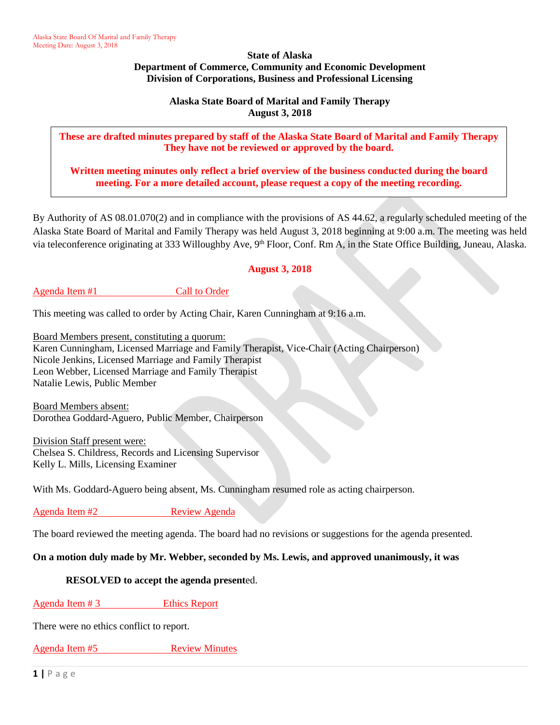**State of Alaska Department of Commerce, Community and Economic Development Division of Corporations, Business and Professional Licensing**

> **Alaska State Board of Marital and Family Therapy August 3, 2018**

**These are drafted minutes prepared by staff of the Alaska State Board of Marital and Family Therapy They have not be reviewed or approved by the board.**

**Written meeting minutes only reflect a brief overview of the business conducted during the board meeting. For a more detailed account, please request a copy of the meeting recording.**

By Authority of AS 08.01.070(2) and in compliance with the provisions of AS 44.62, a regularly scheduled meeting of the Alaska State Board of Marital and Family Therapy was held August 3, 2018 beginning at 9:00 a.m. The meeting was held via teleconference originating at 333 Willoughby Ave, 9<sup>th</sup> Floor, Conf. Rm A, in the State Office Building, Juneau, Alaska.

## **August 3, 2018**

## Agenda Item #1 Call to Order

This meeting was called to order by Acting Chair, Karen Cunningham at 9:16 a.m.

Board Members present, constituting a quorum: Karen Cunningham, Licensed Marriage and Family Therapist, Vice-Chair (Acting Chairperson) Nicole Jenkins, Licensed Marriage and Family Therapist Leon Webber, Licensed Marriage and Family Therapist Natalie Lewis, Public Member

Board Members absent: Dorothea Goddard-Aguero, Public Member, Chairperson

Division Staff present were: Chelsea S. Childress, Records and Licensing Supervisor Kelly L. Mills, Licensing Examiner

With Ms. Goddard-Aguero being absent, Ms. Cunningham resumed role as acting chairperson.

Agenda Item #2 Review Agenda

The board reviewed the meeting agenda. The board had no revisions or suggestions for the agenda presented.

#### **On a motion duly made by Mr. Webber, seconded by Ms. Lewis, and approved unanimously, it was**

#### **RESOLVED to accept the agenda present**ed.

#### Agenda Item # 3 Ethics Report

There were no ethics conflict to report.

Agenda Item #5 Review Minutes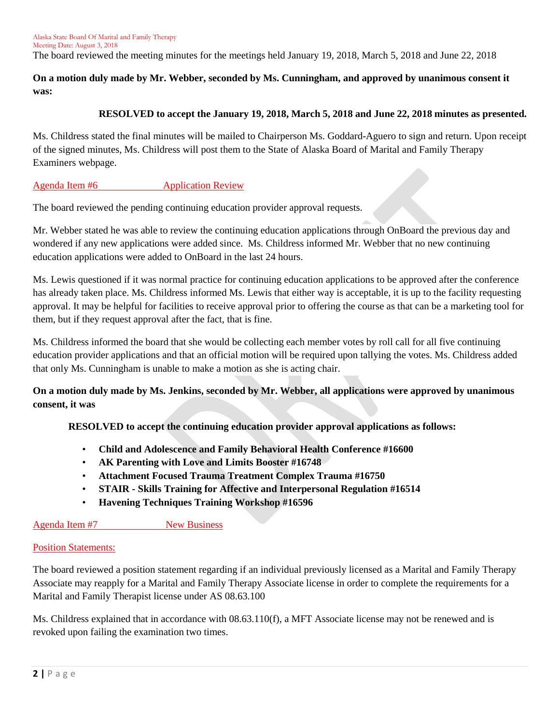The board reviewed the meeting minutes for the meetings held January 19, 2018, March 5, 2018 and June 22, 2018

## **On a motion duly made by Mr. Webber, seconded by Ms. Cunningham, and approved by unanimous consent it was:**

## **RESOLVED to accept the January 19, 2018, March 5, 2018 and June 22, 2018 minutes as presented.**

Ms. Childress stated the final minutes will be mailed to Chairperson Ms. Goddard-Aguero to sign and return. Upon receipt of the signed minutes, Ms. Childress will post them to the State of Alaska Board of Marital and Family Therapy Examiners webpage.

#### Agenda Item #6 Application Review

The board reviewed the pending continuing education provider approval requests.

Mr. Webber stated he was able to review the continuing education applications through OnBoard the previous day and wondered if any new applications were added since. Ms. Childress informed Mr. Webber that no new continuing education applications were added to OnBoard in the last 24 hours.

Ms. Lewis questioned if it was normal practice for continuing education applications to be approved after the conference has already taken place. Ms. Childress informed Ms. Lewis that either way is acceptable, it is up to the facility requesting approval. It may be helpful for facilities to receive approval prior to offering the course as that can be a marketing tool for them, but if they request approval after the fact, that is fine.

Ms. Childress informed the board that she would be collecting each member votes by roll call for all five continuing education provider applications and that an official motion will be required upon tallying the votes. Ms. Childress added that only Ms. Cunningham is unable to make a motion as she is acting chair.

**On a motion duly made by Ms. Jenkins, seconded by Mr. Webber, all applications were approved by unanimous consent, it was**

#### **RESOLVED to accept the continuing education provider approval applications as follows:**

- **Child and Adolescence and Family Behavioral Health Conference #16600**
- **AK Parenting with Love and Limits Booster #16748**
- **Attachment Focused Trauma Treatment Complex Trauma #16750**
- **STAIR - Skills Training for Affective and Interpersonal Regulation #16514**
- **Havening Techniques Training Workshop #16596**

#### Agenda Item #7 New Business

#### Position Statements:

The board reviewed a position statement regarding if an individual previously licensed as a Marital and Family Therapy Associate may reapply for a Marital and Family Therapy Associate license in order to complete the requirements for a Marital and Family Therapist license under AS 08.63.100

Ms. Childress explained that in accordance with 08.63.110(f), a MFT Associate license may not be renewed and is revoked upon failing the examination two times.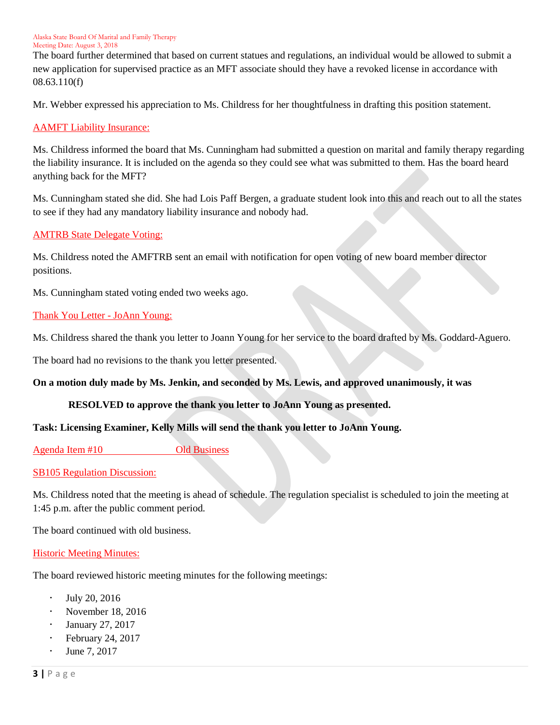The board further determined that based on current statues and regulations, an individual would be allowed to submit a new application for supervised practice as an MFT associate should they have a revoked license in accordance with 08.63.110(f)

Mr. Webber expressed his appreciation to Ms. Childress for her thoughtfulness in drafting this position statement.

#### AAMFT Liability Insurance:

Ms. Childress informed the board that Ms. Cunningham had submitted a question on marital and family therapy regarding the liability insurance. It is included on the agenda so they could see what was submitted to them. Has the board heard anything back for the MFT?

Ms. Cunningham stated she did. She had Lois Paff Bergen, a graduate student look into this and reach out to all the states to see if they had any mandatory liability insurance and nobody had.

## AMTRB State Delegate Voting:

Ms. Childress noted the AMFTRB sent an email with notification for open voting of new board member director positions.

Ms. Cunningham stated voting ended two weeks ago.

## Thank You Letter - JoAnn Young:

Ms. Childress shared the thank you letter to Joann Young for her service to the board drafted by Ms. Goddard-Aguero.

The board had no revisions to the thank you letter presented.

#### **On a motion duly made by Ms. Jenkin, and seconded by Ms. Lewis, and approved unanimously, it was**

## **RESOLVED to approve the thank you letter to JoAnn Young as presented.**

## **Task: Licensing Examiner, Kelly Mills will send the thank you letter to JoAnn Young.**

Agenda Item #10 Old Business

#### SB105 Regulation Discussion:

Ms. Childress noted that the meeting is ahead of schedule. The regulation specialist is scheduled to join the meeting at 1:45 p.m. after the public comment period.

The board continued with old business.

#### Historic Meeting Minutes:

The board reviewed historic meeting minutes for the following meetings:

- July 20, 2016
- November 18, 2016
- January 27, 2017
- February 24, 2017
- June 7, 2017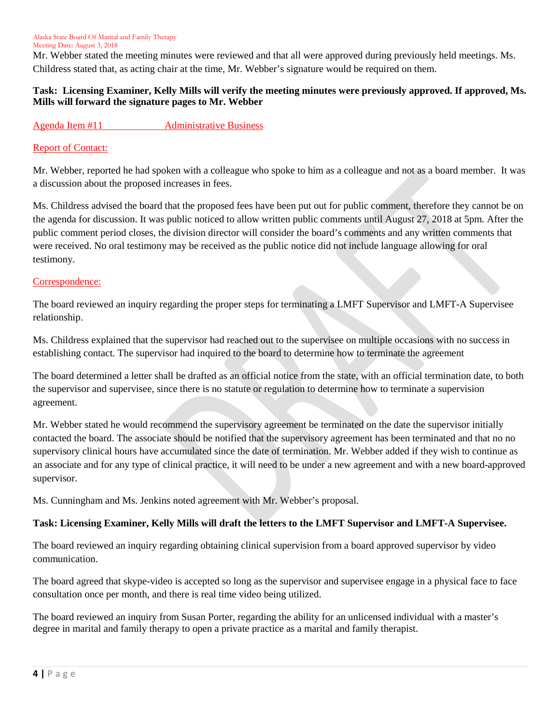Mr. Webber stated the meeting minutes were reviewed and that all were approved during previously held meetings. Ms. Childress stated that, as acting chair at the time, Mr. Webber's signature would be required on them.

## **Task: Licensing Examiner, Kelly Mills will verify the meeting minutes were previously approved. If approved, Ms. Mills will forward the signature pages to Mr. Webber**

## Agenda Item #11 Administrative Business

## Report of Contact:

Mr. Webber, reported he had spoken with a colleague who spoke to him as a colleague and not as a board member. It was a discussion about the proposed increases in fees.

Ms. Childress advised the board that the proposed fees have been put out for public comment, therefore they cannot be on the agenda for discussion. It was public noticed to allow written public comments until August 27, 2018 at 5pm. After the public comment period closes, the division director will consider the board's comments and any written comments that were received. No oral testimony may be received as the public notice did not include language allowing for oral testimony.

#### Correspondence:

The board reviewed an inquiry regarding the proper steps for terminating a LMFT Supervisor and LMFT-A Supervisee relationship.

Ms. Childress explained that the supervisor had reached out to the supervisee on multiple occasions with no success in establishing contact. The supervisor had inquired to the board to determine how to terminate the agreement

The board determined a letter shall be drafted as an official notice from the state, with an official termination date, to both the supervisor and supervisee, since there is no statute or regulation to determine how to terminate a supervision agreement.

Mr. Webber stated he would recommend the supervisory agreement be terminated on the date the supervisor initially contacted the board. The associate should be notified that the supervisory agreement has been terminated and that no no supervisory clinical hours have accumulated since the date of termination. Mr. Webber added if they wish to continue as an associate and for any type of clinical practice, it will need to be under a new agreement and with a new board-approved supervisor.

Ms. Cunningham and Ms. Jenkins noted agreement with Mr. Webber's proposal.

## **Task: Licensing Examiner, Kelly Mills will draft the letters to the LMFT Supervisor and LMFT-A Supervisee.**

The board reviewed an inquiry regarding obtaining clinical supervision from a board approved supervisor by video communication.

The board agreed that skype-video is accepted so long as the supervisor and supervisee engage in a physical face to face consultation once per month, and there is real time video being utilized.

The board reviewed an inquiry from Susan Porter, regarding the ability for an unlicensed individual with a master's degree in marital and family therapy to open a private practice as a marital and family therapist.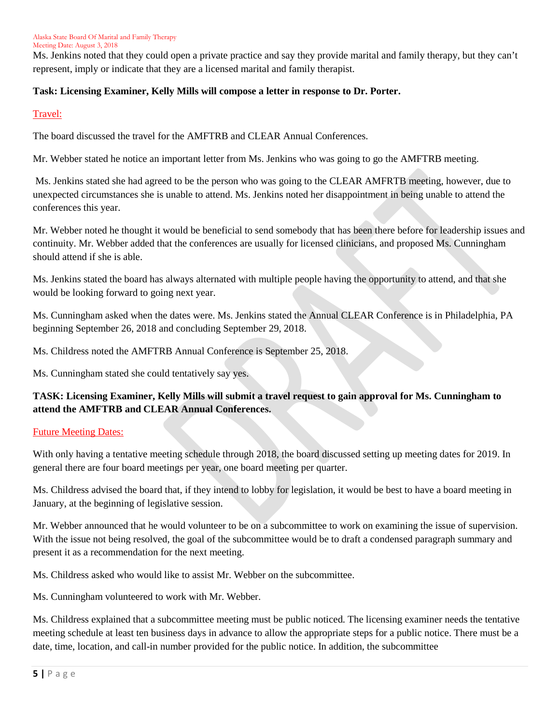Ms. Jenkins noted that they could open a private practice and say they provide marital and family therapy, but they can't represent, imply or indicate that they are a licensed marital and family therapist.

# **Task: Licensing Examiner, Kelly Mills will compose a letter in response to Dr. Porter.**

## Travel:

The board discussed the travel for the AMFTRB and CLEAR Annual Conferences.

Mr. Webber stated he notice an important letter from Ms. Jenkins who was going to go the AMFTRB meeting.

Ms. Jenkins stated she had agreed to be the person who was going to the CLEAR AMFRTB meeting, however, due to unexpected circumstances she is unable to attend. Ms. Jenkins noted her disappointment in being unable to attend the conferences this year.

Mr. Webber noted he thought it would be beneficial to send somebody that has been there before for leadership issues and continuity. Mr. Webber added that the conferences are usually for licensed clinicians, and proposed Ms. Cunningham should attend if she is able.

Ms. Jenkins stated the board has always alternated with multiple people having the opportunity to attend, and that she would be looking forward to going next year.

Ms. Cunningham asked when the dates were. Ms. Jenkins stated the Annual CLEAR Conference is in Philadelphia, PA beginning September 26, 2018 and concluding September 29, 2018.

Ms. Childress noted the AMFTRB Annual Conference is September 25, 2018.

Ms. Cunningham stated she could tentatively say yes.

# **TASK: Licensing Examiner, Kelly Mills will submit a travel request to gain approval for Ms. Cunningham to attend the AMFTRB and CLEAR Annual Conferences.**

## Future Meeting Dates:

With only having a tentative meeting schedule through 2018, the board discussed setting up meeting dates for 2019. In general there are four board meetings per year, one board meeting per quarter.

Ms. Childress advised the board that, if they intend to lobby for legislation, it would be best to have a board meeting in January, at the beginning of legislative session.

Mr. Webber announced that he would volunteer to be on a subcommittee to work on examining the issue of supervision. With the issue not being resolved, the goal of the subcommittee would be to draft a condensed paragraph summary and present it as a recommendation for the next meeting.

Ms. Childress asked who would like to assist Mr. Webber on the subcommittee.

Ms. Cunningham volunteered to work with Mr. Webber.

Ms. Childress explained that a subcommittee meeting must be public noticed. The licensing examiner needs the tentative meeting schedule at least ten business days in advance to allow the appropriate steps for a public notice. There must be a date, time, location, and call-in number provided for the public notice. In addition, the subcommittee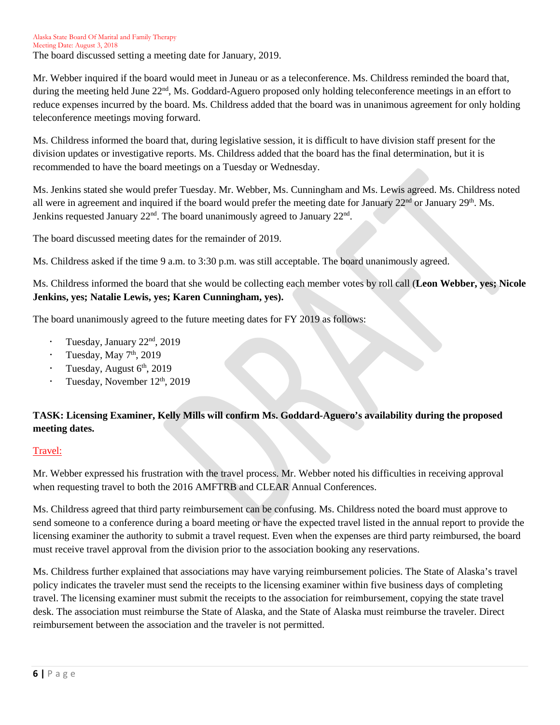Mr. Webber inquired if the board would meet in Juneau or as a teleconference. Ms. Childress reminded the board that, during the meeting held June  $22<sup>nd</sup>$ , Ms. Goddard-Aguero proposed only holding teleconference meetings in an effort to reduce expenses incurred by the board. Ms. Childress added that the board was in unanimous agreement for only holding teleconference meetings moving forward.

Ms. Childress informed the board that, during legislative session, it is difficult to have division staff present for the division updates or investigative reports. Ms. Childress added that the board has the final determination, but it is recommended to have the board meetings on a Tuesday or Wednesday.

Ms. Jenkins stated she would prefer Tuesday. Mr. Webber, Ms. Cunningham and Ms. Lewis agreed. Ms. Childress noted all were in agreement and inquired if the board would prefer the meeting date for January  $22<sup>nd</sup>$  or January  $29<sup>th</sup>$ . Ms. Jenkins requested January  $22<sup>nd</sup>$ . The board unanimously agreed to January  $22<sup>nd</sup>$ .

The board discussed meeting dates for the remainder of 2019.

Ms. Childress asked if the time 9 a.m. to 3:30 p.m. was still acceptable. The board unanimously agreed.

Ms. Childress informed the board that she would be collecting each member votes by roll call (**Leon Webber, yes; Nicole Jenkins, yes; Natalie Lewis, yes; Karen Cunningham, yes).**

The board unanimously agreed to the future meeting dates for FY 2019 as follows:

- Tuesday, January 22nd, 2019
- Tuesday, May  $7<sup>th</sup>$ , 2019
- Tuesday, August 6<sup>th</sup>, 2019
- Tuesday, November 12<sup>th</sup>, 2019

# **TASK: Licensing Examiner, Kelly Mills will confirm Ms. Goddard-Aguero's availability during the proposed meeting dates.**

## Travel:

Mr. Webber expressed his frustration with the travel process. Mr. Webber noted his difficulties in receiving approval when requesting travel to both the 2016 AMFTRB and CLEAR Annual Conferences.

Ms. Childress agreed that third party reimbursement can be confusing. Ms. Childress noted the board must approve to send someone to a conference during a board meeting or have the expected travel listed in the annual report to provide the licensing examiner the authority to submit a travel request. Even when the expenses are third party reimbursed, the board must receive travel approval from the division prior to the association booking any reservations.

Ms. Childress further explained that associations may have varying reimbursement policies. The State of Alaska's travel policy indicates the traveler must send the receipts to the licensing examiner within five business days of completing travel. The licensing examiner must submit the receipts to the association for reimbursement, copying the state travel desk. The association must reimburse the State of Alaska, and the State of Alaska must reimburse the traveler. Direct reimbursement between the association and the traveler is not permitted.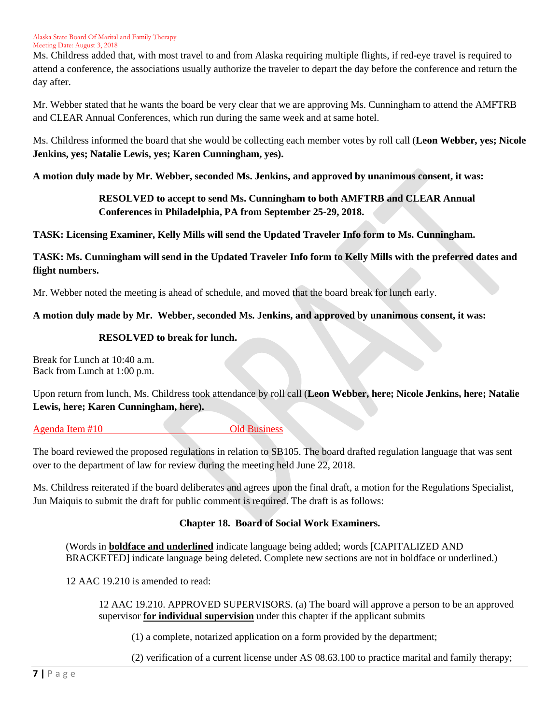Ms. Childress added that, with most travel to and from Alaska requiring multiple flights, if red-eye travel is required to attend a conference, the associations usually authorize the traveler to depart the day before the conference and return the day after.

Mr. Webber stated that he wants the board be very clear that we are approving Ms. Cunningham to attend the AMFTRB and CLEAR Annual Conferences, which run during the same week and at same hotel.

Ms. Childress informed the board that she would be collecting each member votes by roll call (**Leon Webber, yes; Nicole Jenkins, yes; Natalie Lewis, yes; Karen Cunningham, yes).**

**A motion duly made by Mr. Webber, seconded Ms. Jenkins, and approved by unanimous consent, it was:**

# **RESOLVED to accept to send Ms. Cunningham to both AMFTRB and CLEAR Annual Conferences in Philadelphia, PA from September 25-29, 2018.**

**TASK: Licensing Examiner, Kelly Mills will send the Updated Traveler Info form to Ms. Cunningham.** 

# **TASK: Ms. Cunningham will send in the Updated Traveler Info form to Kelly Mills with the preferred dates and flight numbers.**

Mr. Webber noted the meeting is ahead of schedule, and moved that the board break for lunch early.

# **A motion duly made by Mr. Webber, seconded Ms. Jenkins, and approved by unanimous consent, it was:**

## **RESOLVED to break for lunch.**

Break for Lunch at 10:40 a.m. Back from Lunch at 1:00 p.m.

Upon return from lunch, Ms. Childress took attendance by roll call (**Leon Webber, here; Nicole Jenkins, here; Natalie Lewis, here; Karen Cunningham, here).**

## Agenda Item #10 Old Business

The board reviewed the proposed regulations in relation to SB105. The board drafted regulation language that was sent over to the department of law for review during the meeting held June 22, 2018.

Ms. Childress reiterated if the board deliberates and agrees upon the final draft, a motion for the Regulations Specialist, Jun Maiquis to submit the draft for public comment is required. The draft is as follows:

# **Chapter 18. Board of Social Work Examiners.**

(Words in **boldface and underlined** indicate language being added; words [CAPITALIZED AND BRACKETED] indicate language being deleted. Complete new sections are not in boldface or underlined.)

12 AAC 19.210 is amended to read:

12 AAC 19.210. APPROVED SUPERVISORS. (a) The board will approve a person to be an approved supervisor **for individual supervision** under this chapter if the applicant submits

(1) a complete, notarized application on a form provided by the department;

(2) verification of a current license under AS 08.63.100 to practice marital and family therapy;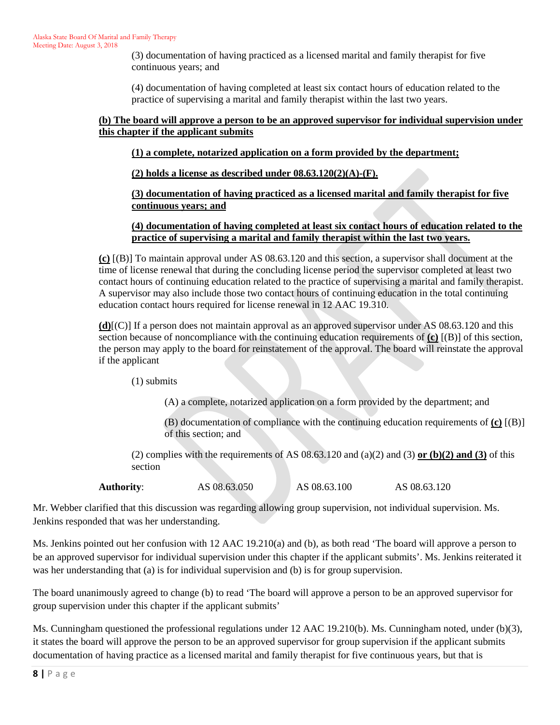(3) documentation of having practiced as a licensed marital and family therapist for five continuous years; and

(4) documentation of having completed at least six contact hours of education related to the practice of supervising a marital and family therapist within the last two years.

## **(b) The board will approve a person to be an approved supervisor for individual supervision under this chapter if the applicant submits**

## **(1) a complete, notarized application on a form provided by the department;**

**(2) holds a license as described under 08.63.120(2)(A)-(F).**

**(3) documentation of having practiced as a licensed marital and family therapist for five continuous years; and**

## **(4) documentation of having completed at least six contact hours of education related to the practice of supervising a marital and family therapist within the last two years.**

**(c)** [(B)] To maintain approval under AS 08.63.120 and this section, a supervisor shall document at the time of license renewal that during the concluding license period the supervisor completed at least two contact hours of continuing education related to the practice of supervising a marital and family therapist. A supervisor may also include those two contact hours of continuing education in the total continuing education contact hours required for license renewal in 12 AAC 19.310.

**(d)**[(C)] If a person does not maintain approval as an approved supervisor under AS 08.63.120 and this section because of noncompliance with the continuing education requirements of **(c)** [(B)] of this section, the person may apply to the board for reinstatement of the approval. The board will reinstate the approval if the applicant

(1) submits

(A) a complete, notarized application on a form provided by the department; and

(B) documentation of compliance with the continuing education requirements of **(c)** [(B)] of this section; and

(2) complies with the requirements of AS  $08.63.120$  and  $(a)(2)$  and  $(3)$  or  $(b)(2)$  and  $(3)$  of this section

**Authority:** AS 08.63.050 AS 08.63.100 AS 08.63.120

Mr. Webber clarified that this discussion was regarding allowing group supervision, not individual supervision. Ms. Jenkins responded that was her understanding.

Ms. Jenkins pointed out her confusion with 12 AAC 19.210(a) and (b), as both read 'The board will approve a person to be an approved supervisor for individual supervision under this chapter if the applicant submits'. Ms. Jenkins reiterated it was her understanding that (a) is for individual supervision and (b) is for group supervision.

The board unanimously agreed to change (b) to read 'The board will approve a person to be an approved supervisor for group supervision under this chapter if the applicant submits'

Ms. Cunningham questioned the professional regulations under 12 AAC 19.210(b). Ms. Cunningham noted, under (b)(3), it states the board will approve the person to be an approved supervisor for group supervision if the applicant submits documentation of having practice as a licensed marital and family therapist for five continuous years, but that is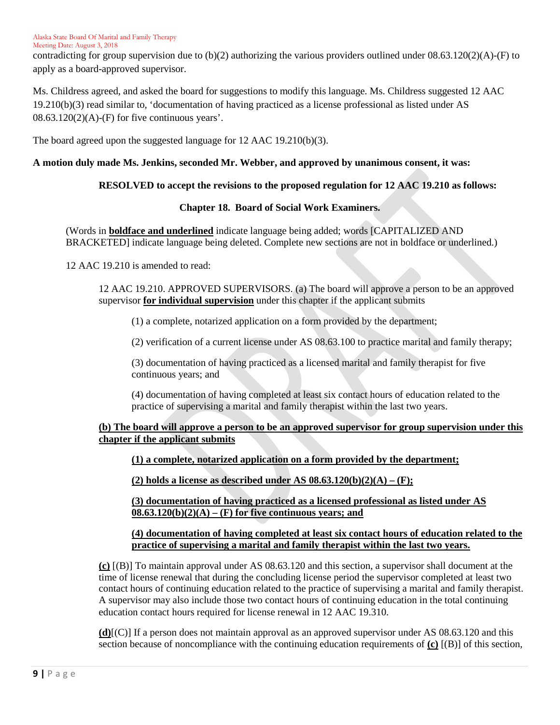contradicting for group supervision due to  $(b)(2)$  authorizing the various providers outlined under  $08.63.120(2)(A)$ -(F) to apply as a board-approved supervisor.

Ms. Childress agreed, and asked the board for suggestions to modify this language. Ms. Childress suggested 12 AAC 19.210(b)(3) read similar to, 'documentation of having practiced as a license professional as listed under AS  $08.63.120(2)(A)$ -(F) for five continuous years'.

The board agreed upon the suggested language for 12 AAC 19.210(b)(3).

## **A motion duly made Ms. Jenkins, seconded Mr. Webber, and approved by unanimous consent, it was:**

## **RESOLVED to accept the revisions to the proposed regulation for 12 AAC 19.210 as follows:**

#### **Chapter 18. Board of Social Work Examiners.**

(Words in **boldface and underlined** indicate language being added; words [CAPITALIZED AND BRACKETED] indicate language being deleted. Complete new sections are not in boldface or underlined.)

12 AAC 19.210 is amended to read:

12 AAC 19.210. APPROVED SUPERVISORS. (a) The board will approve a person to be an approved supervisor **for individual supervision** under this chapter if the applicant submits

(1) a complete, notarized application on a form provided by the department;

(2) verification of a current license under AS 08.63.100 to practice marital and family therapy;

(3) documentation of having practiced as a licensed marital and family therapist for five continuous years; and

(4) documentation of having completed at least six contact hours of education related to the practice of supervising a marital and family therapist within the last two years.

## **(b) The board will approve a person to be an approved supervisor for group supervision under this chapter if the applicant submits**

**(1) a complete, notarized application on a form provided by the department;**

**(2) holds a license as described under AS 08.63.120(b)(2)(A) – (F);**

**(3) documentation of having practiced as a licensed professional as listed under AS 08.63.120(b)(2)(A) – (F) for five continuous years; and** 

#### **(4) documentation of having completed at least six contact hours of education related to the practice of supervising a marital and family therapist within the last two years.**

**(c)** [(B)] To maintain approval under AS 08.63.120 and this section, a supervisor shall document at the time of license renewal that during the concluding license period the supervisor completed at least two contact hours of continuing education related to the practice of supervising a marital and family therapist. A supervisor may also include those two contact hours of continuing education in the total continuing education contact hours required for license renewal in 12 AAC 19.310.

**(d)**[(C)] If a person does not maintain approval as an approved supervisor under AS 08.63.120 and this section because of noncompliance with the continuing education requirements of **(c)** [(B)] of this section,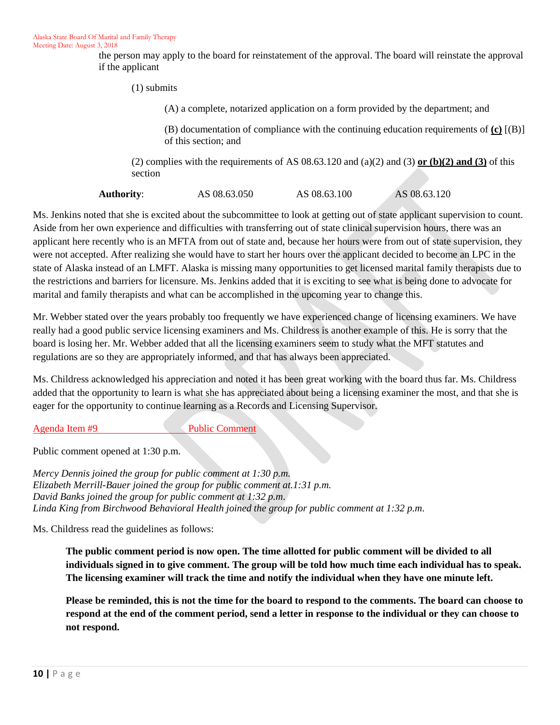the person may apply to the board for reinstatement of the approval. The board will reinstate the approval if the applicant

(1) submits

(A) a complete, notarized application on a form provided by the department; and

(B) documentation of compliance with the continuing education requirements of **(c)** [(B)] of this section; and

(2) complies with the requirements of AS  $08.63.120$  and  $(a)(2)$  and  $(3)$  or  $(b)(2)$  and  $(3)$  of this section

**Authority:** AS 08.63.050 AS 08.63.100 AS 08.63.120

Ms. Jenkins noted that she is excited about the subcommittee to look at getting out of state applicant supervision to count. Aside from her own experience and difficulties with transferring out of state clinical supervision hours, there was an applicant here recently who is an MFTA from out of state and, because her hours were from out of state supervision, they were not accepted. After realizing she would have to start her hours over the applicant decided to become an LPC in the state of Alaska instead of an LMFT. Alaska is missing many opportunities to get licensed marital family therapists due to the restrictions and barriers for licensure. Ms. Jenkins added that it is exciting to see what is being done to advocate for marital and family therapists and what can be accomplished in the upcoming year to change this.

Mr. Webber stated over the years probably too frequently we have experienced change of licensing examiners. We have really had a good public service licensing examiners and Ms. Childress is another example of this. He is sorry that the board is losing her. Mr. Webber added that all the licensing examiners seem to study what the MFT statutes and regulations are so they are appropriately informed, and that has always been appreciated.

Ms. Childress acknowledged his appreciation and noted it has been great working with the board thus far. Ms. Childress added that the opportunity to learn is what she has appreciated about being a licensing examiner the most, and that she is eager for the opportunity to continue learning as a Records and Licensing Supervisor.

Agenda Item #9 Public Comment

Public comment opened at 1:30 p.m.

*Mercy Dennis joined the group for public comment at 1:30 p.m. Elizabeth Merrill-Bauer joined the group for public comment at.1:31 p.m. David Banks joined the group for public comment at 1:32 p.m*. *Linda King from Birchwood Behavioral Health joined the group for public comment at 1:32 p.m*.

Ms. Childress read the guidelines as follows:

**The public comment period is now open. The time allotted for public comment will be divided to all individuals signed in to give comment. The group will be told how much time each individual has to speak. The licensing examiner will track the time and notify the individual when they have one minute left.** 

**Please be reminded, this is not the time for the board to respond to the comments. The board can choose to respond at the end of the comment period, send a letter in response to the individual or they can choose to not respond.**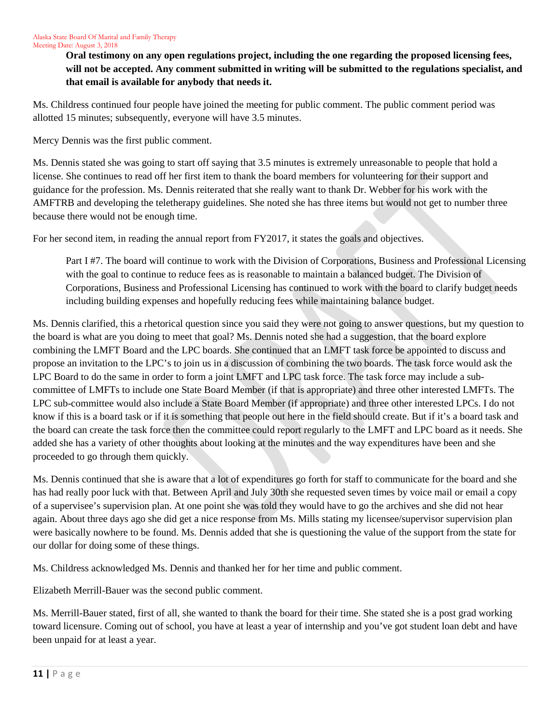**Oral testimony on any open regulations project, including the one regarding the proposed licensing fees, will not be accepted. Any comment submitted in writing will be submitted to the regulations specialist, and that email is available for anybody that needs it.** 

Ms. Childress continued four people have joined the meeting for public comment. The public comment period was allotted 15 minutes; subsequently, everyone will have 3.5 minutes.

Mercy Dennis was the first public comment.

Ms. Dennis stated she was going to start off saying that 3.5 minutes is extremely unreasonable to people that hold a license. She continues to read off her first item to thank the board members for volunteering for their support and guidance for the profession. Ms. Dennis reiterated that she really want to thank Dr. Webber for his work with the AMFTRB and developing the teletherapy guidelines. She noted she has three items but would not get to number three because there would not be enough time.

For her second item, in reading the annual report from FY2017, it states the goals and objectives.

Part I #7. The board will continue to work with the Division of Corporations, Business and Professional Licensing with the goal to continue to reduce fees as is reasonable to maintain a balanced budget. The Division of Corporations, Business and Professional Licensing has continued to work with the board to clarify budget needs including building expenses and hopefully reducing fees while maintaining balance budget.

Ms. Dennis clarified, this a rhetorical question since you said they were not going to answer questions, but my question to the board is what are you doing to meet that goal? Ms. Dennis noted she had a suggestion, that the board explore combining the LMFT Board and the LPC boards. She continued that an LMFT task force be appointed to discuss and propose an invitation to the LPC's to join us in a discussion of combining the two boards. The task force would ask the LPC Board to do the same in order to form a joint LMFT and LPC task force. The task force may include a subcommittee of LMFTs to include one State Board Member (if that is appropriate) and three other interested LMFTs. The LPC sub-committee would also include a State Board Member (if appropriate) and three other interested LPCs. I do not know if this is a board task or if it is something that people out here in the field should create. But if it's a board task and the board can create the task force then the committee could report regularly to the LMFT and LPC board as it needs. She added she has a variety of other thoughts about looking at the minutes and the way expenditures have been and she proceeded to go through them quickly.

Ms. Dennis continued that she is aware that a lot of expenditures go forth for staff to communicate for the board and she has had really poor luck with that. Between April and July 30th she requested seven times by voice mail or email a copy of a supervisee's supervision plan. At one point she was told they would have to go the archives and she did not hear again. About three days ago she did get a nice response from Ms. Mills stating my licensee/supervisor supervision plan were basically nowhere to be found. Ms. Dennis added that she is questioning the value of the support from the state for our dollar for doing some of these things.

Ms. Childress acknowledged Ms. Dennis and thanked her for her time and public comment.

Elizabeth Merrill-Bauer was the second public comment.

Ms. Merrill-Bauer stated, first of all, she wanted to thank the board for their time. She stated she is a post grad working toward licensure. Coming out of school, you have at least a year of internship and you've got student loan debt and have been unpaid for at least a year.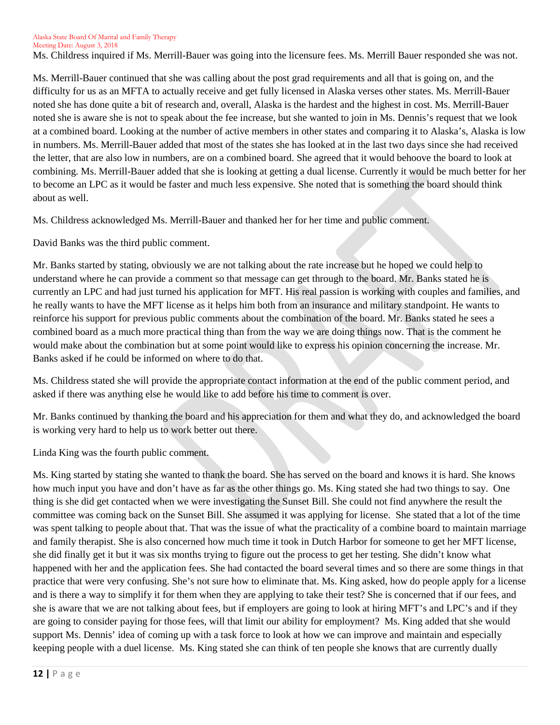Ms. Childress inquired if Ms. Merrill-Bauer was going into the licensure fees. Ms. Merrill Bauer responded she was not.

Ms. Merrill-Bauer continued that she was calling about the post grad requirements and all that is going on, and the difficulty for us as an MFTA to actually receive and get fully licensed in Alaska verses other states. Ms. Merrill-Bauer noted she has done quite a bit of research and, overall, Alaska is the hardest and the highest in cost. Ms. Merrill-Bauer noted she is aware she is not to speak about the fee increase, but she wanted to join in Ms. Dennis's request that we look at a combined board. Looking at the number of active members in other states and comparing it to Alaska's, Alaska is low in numbers. Ms. Merrill-Bauer added that most of the states she has looked at in the last two days since she had received the letter, that are also low in numbers, are on a combined board. She agreed that it would behoove the board to look at combining. Ms. Merrill-Bauer added that she is looking at getting a dual license. Currently it would be much better for her to become an LPC as it would be faster and much less expensive. She noted that is something the board should think about as well.

Ms. Childress acknowledged Ms. Merrill-Bauer and thanked her for her time and public comment.

David Banks was the third public comment.

Mr. Banks started by stating, obviously we are not talking about the rate increase but he hoped we could help to understand where he can provide a comment so that message can get through to the board. Mr. Banks stated he is currently an LPC and had just turned his application for MFT. His real passion is working with couples and families, and he really wants to have the MFT license as it helps him both from an insurance and military standpoint. He wants to reinforce his support for previous public comments about the combination of the board. Mr. Banks stated he sees a combined board as a much more practical thing than from the way we are doing things now. That is the comment he would make about the combination but at some point would like to express his opinion concerning the increase. Mr. Banks asked if he could be informed on where to do that.

Ms. Childress stated she will provide the appropriate contact information at the end of the public comment period, and asked if there was anything else he would like to add before his time to comment is over.

Mr. Banks continued by thanking the board and his appreciation for them and what they do, and acknowledged the board is working very hard to help us to work better out there.

Linda King was the fourth public comment.

Ms. King started by stating she wanted to thank the board. She has served on the board and knows it is hard. She knows how much input you have and don't have as far as the other things go. Ms. King stated she had two things to say. One thing is she did get contacted when we were investigating the Sunset Bill. She could not find anywhere the result the committee was coming back on the Sunset Bill. She assumed it was applying for license. She stated that a lot of the time was spent talking to people about that. That was the issue of what the practicality of a combine board to maintain marriage and family therapist. She is also concerned how much time it took in Dutch Harbor for someone to get her MFT license, she did finally get it but it was six months trying to figure out the process to get her testing. She didn't know what happened with her and the application fees. She had contacted the board several times and so there are some things in that practice that were very confusing. She's not sure how to eliminate that. Ms. King asked, how do people apply for a license and is there a way to simplify it for them when they are applying to take their test? She is concerned that if our fees, and she is aware that we are not talking about fees, but if employers are going to look at hiring MFT's and LPC's and if they are going to consider paying for those fees, will that limit our ability for employment? Ms. King added that she would support Ms. Dennis' idea of coming up with a task force to look at how we can improve and maintain and especially keeping people with a duel license. Ms. King stated she can think of ten people she knows that are currently dually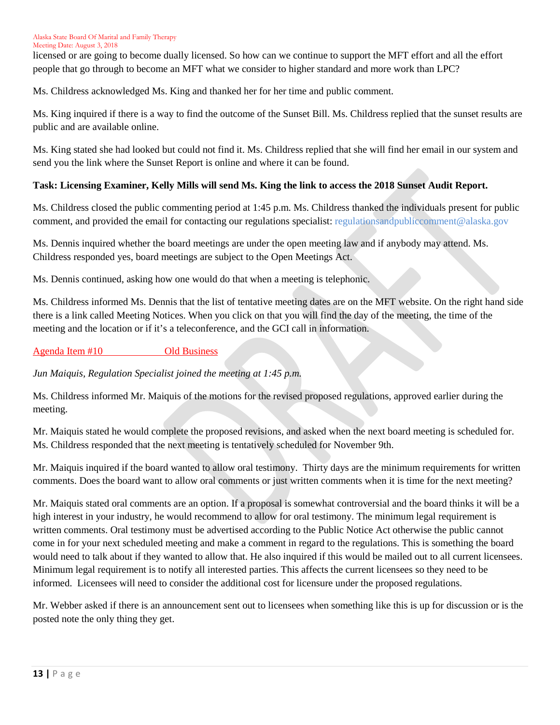licensed or are going to become dually licensed. So how can we continue to support the MFT effort and all the effort people that go through to become an MFT what we consider to higher standard and more work than LPC?

Ms. Childress acknowledged Ms. King and thanked her for her time and public comment.

Ms. King inquired if there is a way to find the outcome of the Sunset Bill. Ms. Childress replied that the sunset results are public and are available online.

Ms. King stated she had looked but could not find it. Ms. Childress replied that she will find her email in our system and send you the link where the Sunset Report is online and where it can be found.

## **Task: Licensing Examiner, Kelly Mills will send Ms. King the link to access the 2018 Sunset Audit Report.**

Ms. Childress closed the public commenting period at 1:45 p.m. Ms. Childress thanked the individuals present for public comment, and provided the email for contacting our regulations specialist: regulationsandpubliccomment@alaska.gov

Ms. Dennis inquired whether the board meetings are under the open meeting law and if anybody may attend. Ms. Childress responded yes, board meetings are subject to the Open Meetings Act.

Ms. Dennis continued, asking how one would do that when a meeting is telephonic.

Ms. Childress informed Ms. Dennis that the list of tentative meeting dates are on the MFT website. On the right hand side there is a link called Meeting Notices. When you click on that you will find the day of the meeting, the time of the meeting and the location or if it's a teleconference, and the GCI call in information.

## Agenda Item #10 Old Business

*Jun Maiquis, Regulation Specialist joined the meeting at 1:45 p.m.*

Ms. Childress informed Mr. Maiquis of the motions for the revised proposed regulations, approved earlier during the meeting.

Mr. Maiquis stated he would complete the proposed revisions, and asked when the next board meeting is scheduled for. Ms. Childress responded that the next meeting is tentatively scheduled for November 9th.

Mr. Maiquis inquired if the board wanted to allow oral testimony. Thirty days are the minimum requirements for written comments. Does the board want to allow oral comments or just written comments when it is time for the next meeting?

Mr. Maiquis stated oral comments are an option. If a proposal is somewhat controversial and the board thinks it will be a high interest in your industry, he would recommend to allow for oral testimony. The minimum legal requirement is written comments. Oral testimony must be advertised according to the Public Notice Act otherwise the public cannot come in for your next scheduled meeting and make a comment in regard to the regulations. This is something the board would need to talk about if they wanted to allow that. He also inquired if this would be mailed out to all current licensees. Minimum legal requirement is to notify all interested parties. This affects the current licensees so they need to be informed. Licensees will need to consider the additional cost for licensure under the proposed regulations.

Mr. Webber asked if there is an announcement sent out to licensees when something like this is up for discussion or is the posted note the only thing they get.